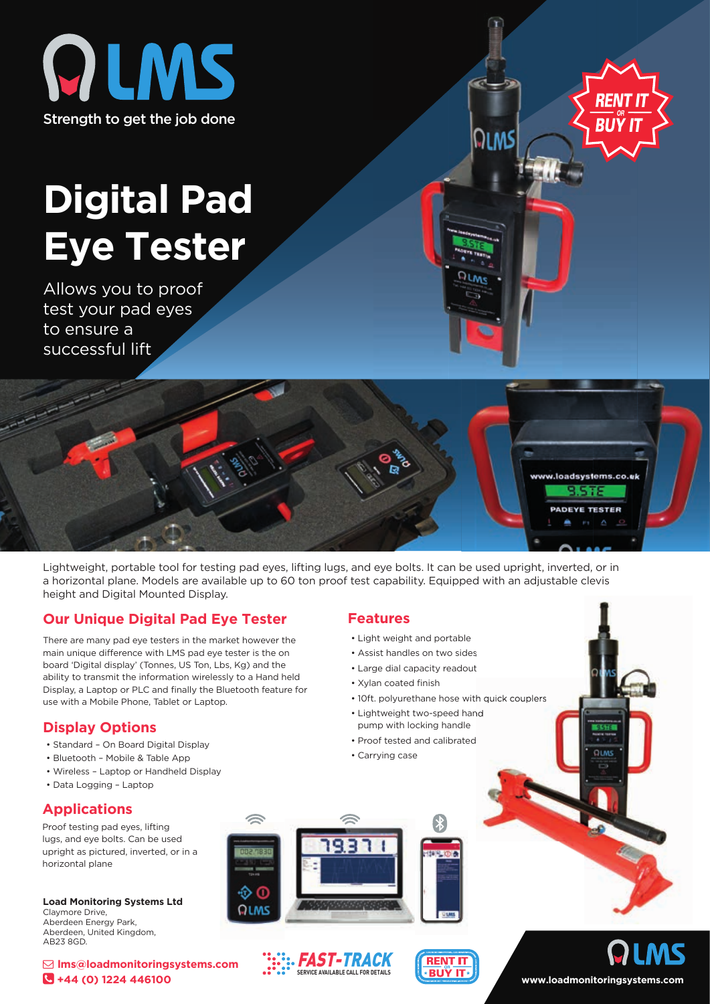



01 MS

# **Digital Pad Eye Tester**

Allows you to proof test your pad eyes to ensure a successful lift



Lightweight, portable tool for testing pad eyes, lifting lugs, and eye bolts. It can be used upright, inverted, or in a horizontal plane. Models are available up to 60 ton proof test capability. Equipped with an adjustable clevis height and Digital Mounted Display.

## **Our Unique Digital Pad Eye Tester**

There are many pad eye testers in the market however the main unique difference with LMS pad eye tester is the on board 'Digital display' (Tonnes, US Ton, Lbs, Kg) and the ability to transmit the information wirelessly to a Hand held Display, a Laptop or PLC and finally the Bluetooth feature for use with a Mobile Phone, Tablet or Laptop.

## **Display Options**

- Standard On Board Digital Display
- Bluetooth Mobile & Table App
- Wireless Laptop or Handheld Display
- Data Logging Laptop

## **Applications**

Proof testing pad eyes, lifting lugs, and eye bolts. Can be used upright as pictured, inverted, or in a horizontal plane

**Load Monitoring Systems Ltd** Claymore Drive, Aberdeen Energy Park, Aberdeen, United Kingdom, AB23 8GD.

 **lms@loadmonitoringsystems.com +44 (0) 1224 446100**

#### **Features**

- Light weight and portable
- Assist handles on two sides
- Large dial capacity readout
- Xylan coated finish
- 10ft. polyurethane hose with quick couplers
- Lightweight two-speed hand pump with locking handle
- Proof tested and calibrated
- Carrying case









**www.loadmonitoringsystems.com**